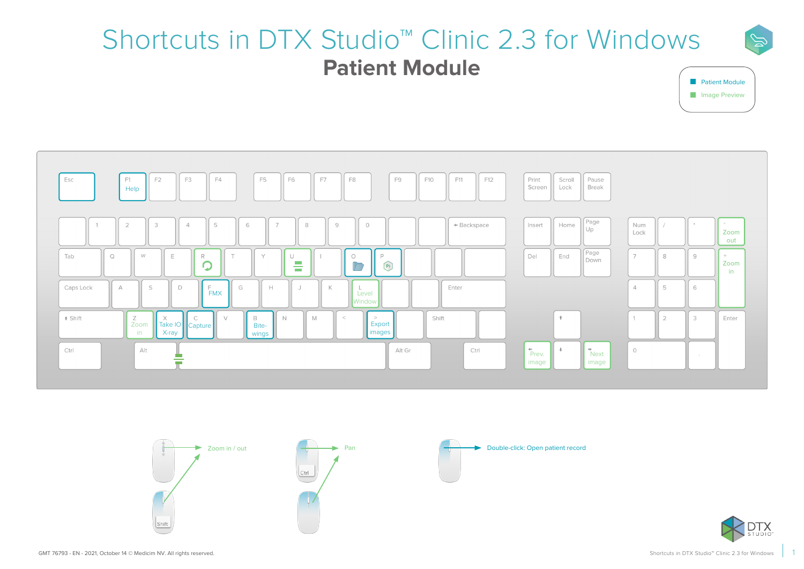## Shortcuts in DTX Studio™ Clinic 2.3 for Windows **Patient Module**



 $\mathbb{Z}$ 







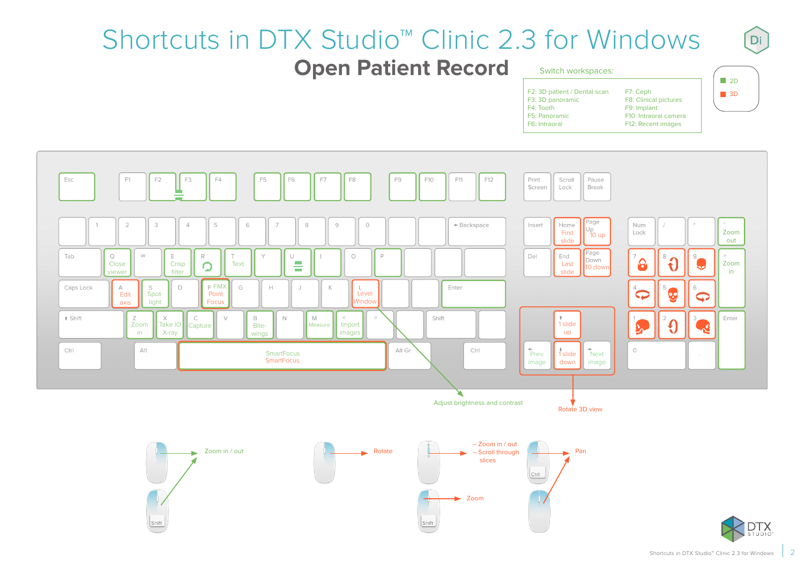